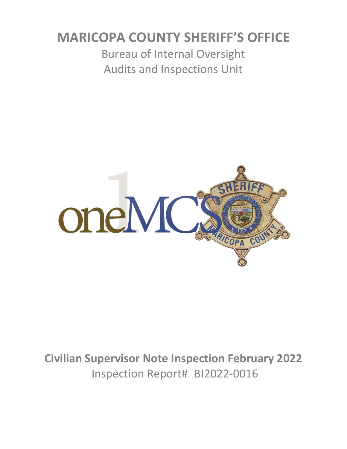# **MARICOPA COUNTY SHERIFF'S OFFICE**

Bureau of Internal Oversight Audits and Inspections Unit



**Civilian Supervisor Note Inspection February 2022** Inspection Report# BI2022-0016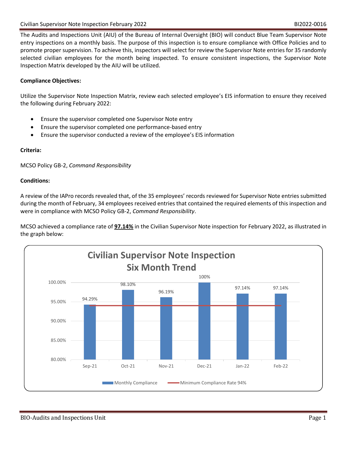The Audits and Inspections Unit (AIU) of the Bureau of Internal Oversight (BIO) will conduct Blue Team Supervisor Note entry inspections on a monthly basis. The purpose of this inspection is to ensure compliance with Office Policies and to promote proper supervision. To achieve this, inspectors will select for review the Supervisor Note entries for 35 randomly selected civilian employees for the month being inspected. To ensure consistent inspections, the Supervisor Note Inspection Matrix developed by the AIU will be utilized.

# **Compliance Objectives:**

Utilize the Supervisor Note Inspection Matrix, review each selected employee's EIS information to ensure they received the following during February 2022:

- Ensure the supervisor completed one Supervisor Note entry
- Ensure the supervisor completed one performance-based entry
- Ensure the supervisor conducted a review of the employee's EIS information

# **Criteria:**

MCSO Policy GB-2, *Command Responsibility*

# **Conditions:**

A review of the IAPro records revealed that, of the 35 employees' records reviewed for Supervisor Note entries submitted during the month of February, 34 employees received entries that contained the required elements of this inspection and were in compliance with MCSO Policy GB-2, *Command Responsibility*.

MCSO achieved a compliance rate of **97.14%** in the Civilian Supervisor Note inspection for February 2022, as illustrated in the graph below:

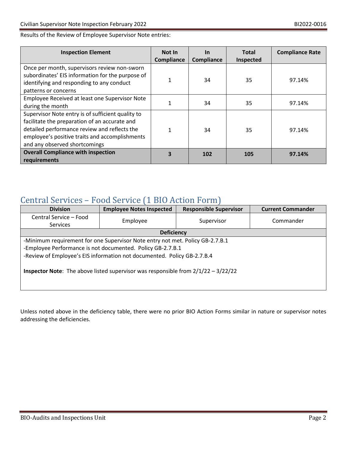# Results of the Review of Employee Supervisor Note entries:

| <b>Inspection Element</b>                                                                                                                                                                                                             | <b>Not In</b><br>Compliance | <b>In</b><br>Compliance | <b>Total</b><br>Inspected | <b>Compliance Rate</b> |
|---------------------------------------------------------------------------------------------------------------------------------------------------------------------------------------------------------------------------------------|-----------------------------|-------------------------|---------------------------|------------------------|
| Once per month, supervisors review non-sworn<br>subordinates' EIS information for the purpose of<br>identifying and responding to any conduct<br>patterns or concerns                                                                 |                             | 34                      | 35                        | 97.14%                 |
| Employee Received at least one Supervisor Note<br>during the month                                                                                                                                                                    |                             | 34                      | 35                        | 97.14%                 |
| Supervisor Note entry is of sufficient quality to<br>facilitate the preparation of an accurate and<br>detailed performance review and reflects the<br>employee's positive traits and accomplishments<br>and any observed shortcomings |                             | 34                      | 35                        | 97.14%                 |
| <b>Overall Compliance with inspection</b><br>requirements                                                                                                                                                                             | 3                           | 102                     | 105                       | 97.14%                 |

# Central Services – Food Service (1 BIO Action Form)

| <b>Division</b>                                                                            | <b>Employee Notes Inspected</b> | <b>Responsible Supervisor</b> | <b>Current Commander</b> |  |  |
|--------------------------------------------------------------------------------------------|---------------------------------|-------------------------------|--------------------------|--|--|
| Central Service - Food                                                                     | Employee                        | Supervisor                    | Commander                |  |  |
| Services                                                                                   |                                 |                               |                          |  |  |
| <b>Deficiency</b>                                                                          |                                 |                               |                          |  |  |
| -Minimum requirement for one Supervisor Note entry not met. Policy GB-2.7.B.1              |                                 |                               |                          |  |  |
| -Employee Performance is not documented. Policy GB-2.7.B.1                                 |                                 |                               |                          |  |  |
| -Review of Employee's EIS information not documented. Policy GB-2.7.B.4                    |                                 |                               |                          |  |  |
|                                                                                            |                                 |                               |                          |  |  |
| <b>Inspector Note:</b> The above listed supervisor was responsible from $2/1/22 - 3/22/22$ |                                 |                               |                          |  |  |
|                                                                                            |                                 |                               |                          |  |  |
|                                                                                            |                                 |                               |                          |  |  |

Unless noted above in the deficiency table, there were no prior BIO Action Forms similar in nature or supervisor notes addressing the deficiencies.